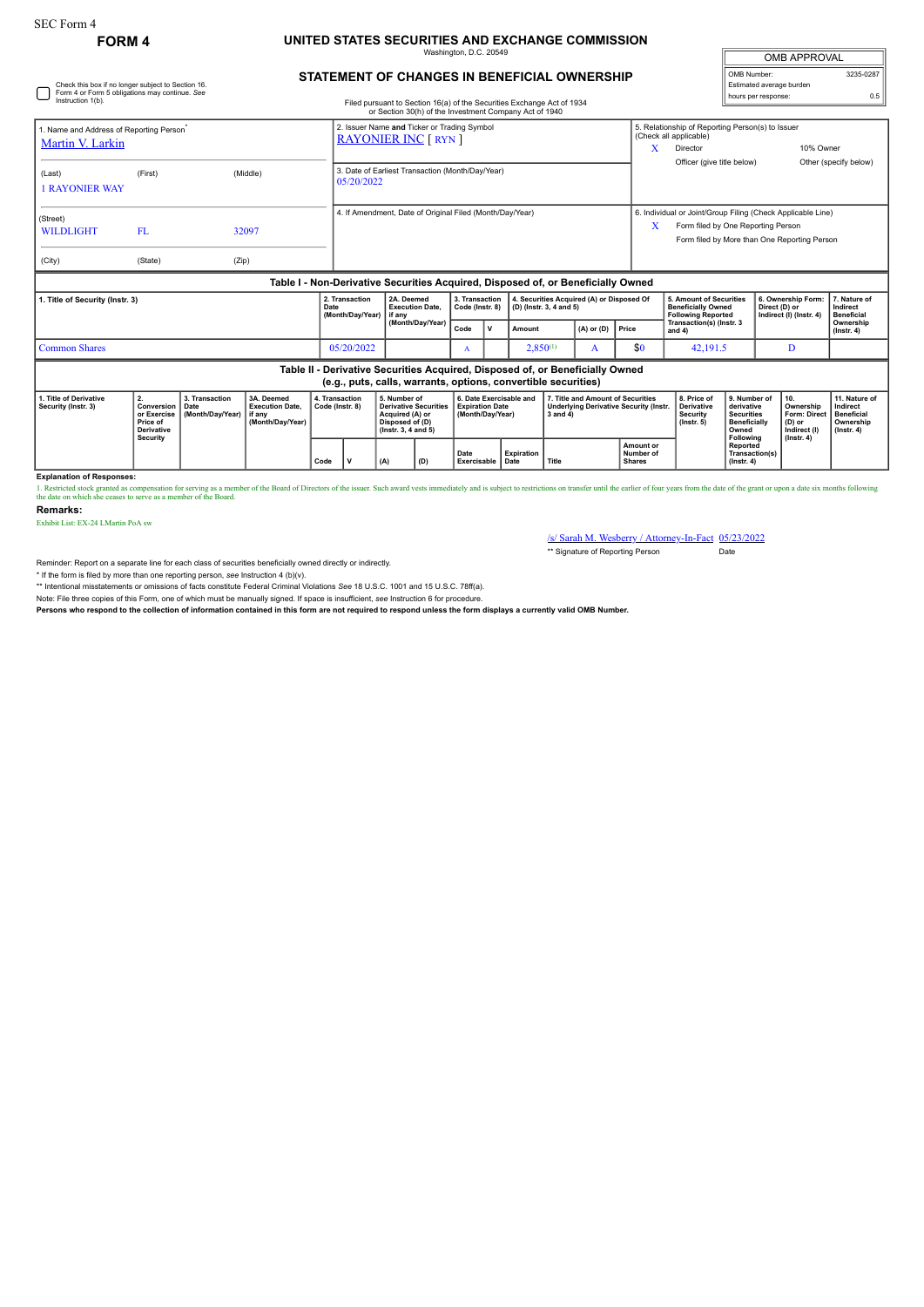# **FORM 4 UNITED STATES SECURITIES AND EXCHANGE COMMISSION** Washington, D.C. 20549

| <b>OMB APPROVAL</b>      |           |  |  |  |  |  |
|--------------------------|-----------|--|--|--|--|--|
| OMB Number:              | 3235-0287 |  |  |  |  |  |
| Estimated average burden |           |  |  |  |  |  |
| hours per response:      | 0.5       |  |  |  |  |  |

## **STATEMENT OF CHANGES IN BENEFICIAL OWNERSHIP**

| Check this box if no longer subject to Section 16.<br>Form 4 or Form 5 obligations may continue. See<br>Instruction 1(b).<br>Filed pursuant to Section 16(a) of the Securities Exchange Act of 1934<br>or Section 30(h) of the Investment Company Act of 1940 |                                                                  |                                            |                                                                    |      |                                                                |                                                                            |                                                                                                           |                                   |                                                                       |                                                                |                         |                                                                                  |                                               |                                                                                                                                                   | Estimated average burden<br>hours per response:                                              |                               | 0.5                                                                                                             |                                                                                 |  |
|---------------------------------------------------------------------------------------------------------------------------------------------------------------------------------------------------------------------------------------------------------------|------------------------------------------------------------------|--------------------------------------------|--------------------------------------------------------------------|------|----------------------------------------------------------------|----------------------------------------------------------------------------|-----------------------------------------------------------------------------------------------------------|-----------------------------------|-----------------------------------------------------------------------|----------------------------------------------------------------|-------------------------|----------------------------------------------------------------------------------|-----------------------------------------------|---------------------------------------------------------------------------------------------------------------------------------------------------|----------------------------------------------------------------------------------------------|-------------------------------|-----------------------------------------------------------------------------------------------------------------|---------------------------------------------------------------------------------|--|
| 1. Name and Address of Reporting Person <sup>®</sup><br>Martin V. Larkin                                                                                                                                                                                      |                                                                  |                                            |                                                                    |      |                                                                | 2. Issuer Name and Ticker or Trading Symbol<br><b>RAYONIER INC [ RYN ]</b> |                                                                                                           |                                   |                                                                       |                                                                |                         |                                                                                  |                                               | 5. Relationship of Reporting Person(s) to Issuer<br>(Check all applicable)<br>10% Owner<br>x<br>Director                                          |                                                                                              |                               |                                                                                                                 |                                                                                 |  |
| (Last)<br><b>1 RAYONIER WAY</b>                                                                                                                                                                                                                               | (First)                                                          |                                            | (Middle)                                                           |      | 3. Date of Earliest Transaction (Month/Day/Year)<br>05/20/2022 |                                                                            |                                                                                                           |                                   |                                                                       |                                                                |                         |                                                                                  |                                               | Officer (give title below)                                                                                                                        |                                                                                              |                               |                                                                                                                 | Other (specify below)                                                           |  |
| (Street)<br><b>WILDLIGHT</b><br>(City)                                                                                                                                                                                                                        | <b>FL</b><br>(State)                                             | (Zip)                                      | 32097                                                              |      | 4. If Amendment, Date of Original Filed (Month/Day/Year)       |                                                                            |                                                                                                           |                                   |                                                                       |                                                                |                         |                                                                                  | X                                             | 6. Individual or Joint/Group Filing (Check Applicable Line)<br>Form filed by One Reporting Person<br>Form filed by More than One Reporting Person |                                                                                              |                               |                                                                                                                 |                                                                                 |  |
|                                                                                                                                                                                                                                                               |                                                                  |                                            |                                                                    |      |                                                                |                                                                            |                                                                                                           |                                   |                                                                       |                                                                |                         | Table I - Non-Derivative Securities Acquired, Disposed of, or Beneficially Owned |                                               |                                                                                                                                                   |                                                                                              |                               |                                                                                                                 |                                                                                 |  |
| 1. Title of Security (Instr. 3)                                                                                                                                                                                                                               |                                                                  |                                            |                                                                    | Date | 2. Transaction<br>(Month/Day/Year)                             | 2A. Deemed<br><b>Execution Date.</b><br>if any                             |                                                                                                           | 3. Transaction<br>Code (Instr. 8) |                                                                       |                                                                | (D) (Instr. 3, 4 and 5) | 4. Securities Acquired (A) or Disposed Of                                        |                                               | <b>Beneficially Owned</b><br><b>Following Reported</b><br>Transaction(s) (Instr. 3                                                                | 5. Amount of Securities                                                                      |                               | 6. Ownership Form:<br>7. Nature of<br>Direct (D) or<br>Indirect<br>Indirect (I) (Instr. 4)<br><b>Beneficial</b> |                                                                                 |  |
| (Month/Day/Year)<br>Code<br>v<br>Amount                                                                                                                                                                                                                       |                                                                  |                                            |                                                                    |      |                                                                |                                                                            |                                                                                                           | $(A)$ or $(D)$                    | Price                                                                 | and $4$ )                                                      |                         | Ownership<br>$($ Instr. 4 $)$                                                    |                                               |                                                                                                                                                   |                                                                                              |                               |                                                                                                                 |                                                                                 |  |
| <b>Common Shares</b>                                                                                                                                                                                                                                          |                                                                  |                                            |                                                                    |      | 05/20/2022                                                     |                                                                            |                                                                                                           | A                                 |                                                                       | $2,850^{(1)}$                                                  |                         | A                                                                                | \$0                                           | 42,191.5                                                                                                                                          |                                                                                              | D                             |                                                                                                                 |                                                                                 |  |
|                                                                                                                                                                                                                                                               |                                                                  |                                            |                                                                    |      |                                                                |                                                                            |                                                                                                           |                                   |                                                                       | (e.g., puts, calls, warrants, options, convertible securities) |                         | Table II - Derivative Securities Acquired, Disposed of, or Beneficially Owned    |                                               |                                                                                                                                                   |                                                                                              |                               |                                                                                                                 |                                                                                 |  |
| 1. Title of Derivative<br>Security (Instr. 3)                                                                                                                                                                                                                 | 2.<br>Conversion<br>or Exercise<br>Price of<br><b>Derivative</b> | 3. Transaction<br>Date<br>(Month/Dav/Year) | 3A. Deemed<br><b>Execution Date,</b><br>if anv<br>(Month/Day/Year) |      | 4. Transaction<br>Code (Instr. 8)                              |                                                                            | 5. Number of<br><b>Derivative Securities</b><br>Acquired (A) or<br>Disposed of (D)<br>(Instr. 3, 4 and 5) |                                   | 6. Date Exercisable and<br><b>Expiration Date</b><br>(Month/Day/Year) |                                                                |                         | 7. Title and Amount of Securities                                                | <b>Underlying Derivative Security (Instr.</b> | 8. Price of<br>Derivative<br><b>Security</b><br>$($ lnstr. 5 $)$                                                                                  | 9. Number of<br>derivative<br><b>Securities</b><br><b>Beneficially</b><br>Owned<br>Following | 10.<br>(D) or<br>Indirect (I) | Ownership<br><b>Form: Direct</b>                                                                                | 11. Nature of<br>Indirect<br><b>Beneficial</b><br>Ownership<br>$($ Instr. 4 $)$ |  |
|                                                                                                                                                                                                                                                               | Security                                                         |                                            |                                                                    | Code | ν                                                              | (D)<br>(A)                                                                 |                                                                                                           | Date<br>Exercisable<br>Date       |                                                                       | <b>Expiration</b>                                              | Title                   |                                                                                  | Amount or<br>Number of<br><b>Shares</b>       |                                                                                                                                                   | Reported<br>Transaction(s)<br>$($ lnstr. 4 $)$                                               |                               | $($ lnstr. 4 $)$                                                                                                |                                                                                 |  |

### **Explanation of Responses:**

1. Restricted stock granted as compensation for serving as a member of the Board of Directors of the issuer. Such award vests immediately and is subject to restrictions on transfer until the earlier of four years from the

#### **Remarks:**

Exhibit List: EX-24 LMartin PoA sw

/s/ Sarah M. Wesberry / Attorney-In-Fact 05/23/2022 \*\* Signature of Reporting Person Date

Reminder: Report on a separate line for each class of securities beneficially owned directly or indirectly.

\* If the form is filed by more than one reporting person, *see* Instruction 4 (b)(v).

\*\* Intentional misstatements or omissions of facts constitute Federal Criminal Violations *See* 18 U.S.C. 1001 and 15 U.S.C. 78ff(a).

Note: File three copies of this Form, one of which must be manually signed. If space is insufficient, *see* Instruction 6 for procedure.

**Persons who respond to the collection of information contained in this form are not required to respond unless the form displays a currently valid OMB Number.**